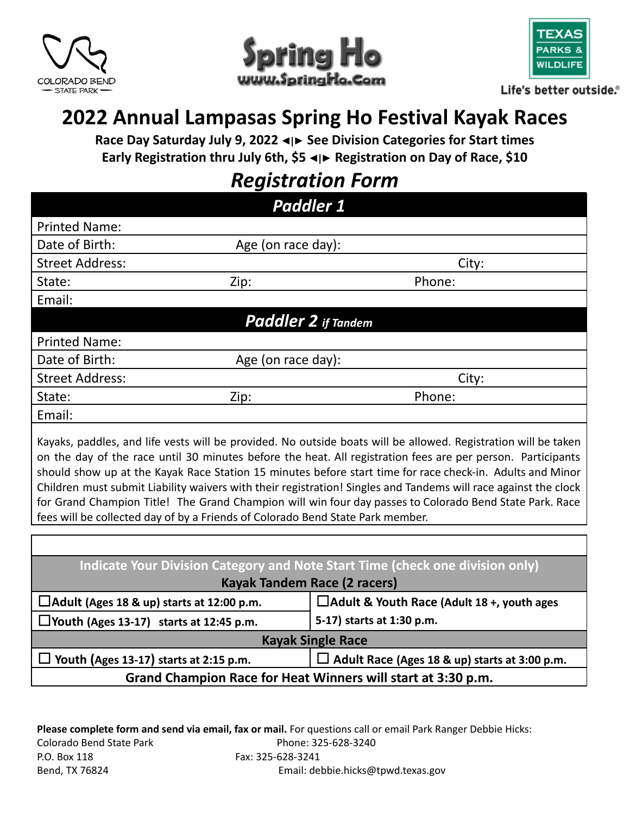





Life's better outside.®

# **2022 Annual Lampasas Spring Ho Festival Kayak Races**

**Race Day Saturday July 9, 2022 ◄|► See Division Categories for Start times Early Registration thru July 6th, \$5 ◄|► Registration on Day of Race, \$10**

# *Registration Form*

| <b>Paddler 1</b>           |                    |        |  |  |
|----------------------------|--------------------|--------|--|--|
| <b>Printed Name:</b>       |                    |        |  |  |
| Date of Birth:             | Age (on race day): |        |  |  |
| <b>Street Address:</b>     |                    | City:  |  |  |
| State:                     | Zip:               | Phone: |  |  |
| Email:                     |                    |        |  |  |
| <b>Paddler 2</b> if Tandem |                    |        |  |  |
| <b>Printed Name:</b>       |                    |        |  |  |
| Date of Birth:             | Age (on race day): |        |  |  |
| <b>Street Address:</b>     |                    | City:  |  |  |
| State:                     | Zip:               | Phone: |  |  |
| Email:                     |                    |        |  |  |
|                            |                    |        |  |  |

Kayaks, paddles, and life vests will be provided. No outside boats will be allowed. Registration will be taken on the day of the race until 30 minutes before the heat. All registration fees are per person. Participants should show up at the Kayak Race Station 15 minutes before start time for race check-in. Adults and Minor Children must submit Liability waivers with their registration! Singles and Tandems will race against the clock for Grand Champion Title! The Grand Champion will win four day passes to Colorado Bend State Park. Race fees will be collected day of by a Friends of Colorado Bend State Park member.

| Indicate Your Division Category and Note Start Time (check one division only) |                                                      |  |  |  |
|-------------------------------------------------------------------------------|------------------------------------------------------|--|--|--|
| <b>Kayak Tandem Race (2 racers)</b>                                           |                                                      |  |  |  |
| $\Box$ Adult (Ages 18 & up) starts at 12:00 p.m.                              | $\Box$ Adult & Youth Race (Adult 18 +, youth ages    |  |  |  |
| $\Box$ Youth (Ages 13-17) starts at 12:45 p.m.                                | 5-17) starts at 1:30 p.m.                            |  |  |  |
| <b>Kayak Single Race</b>                                                      |                                                      |  |  |  |
| Youth (Ages 13-17) starts at 2:15 p.m.                                        | $\Box$ Adult Race (Ages 18 & up) starts at 3:00 p.m. |  |  |  |
| Grand Champion Race for Heat Winners will start at 3:30 p.m.                  |                                                      |  |  |  |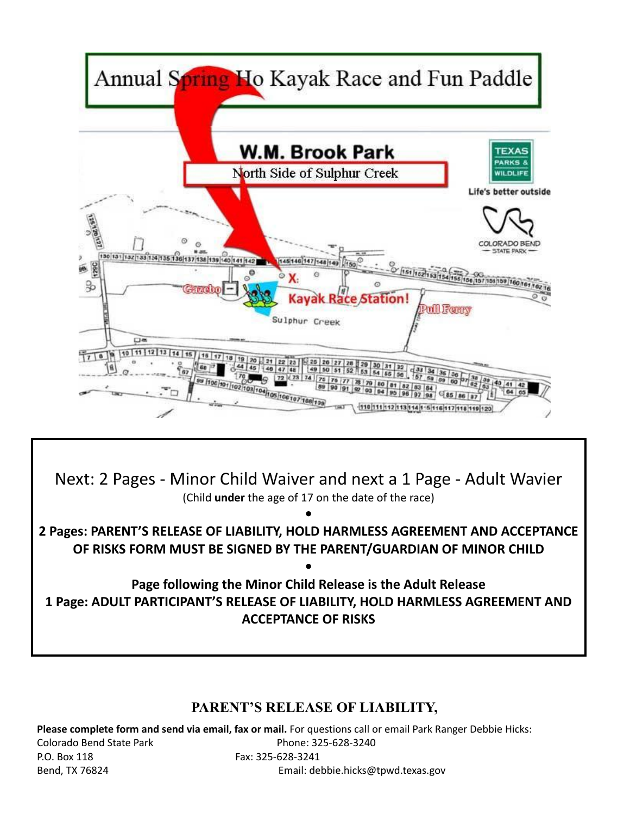

Next: 2 Pages - Minor Child Waiver and next a 1 Page - Adult Wavier (Child **under** the age of 17 on the date of the race)

**2 Pages: PARENT'S RELEASE OF LIABILITY, HOLD HARMLESS AGREEMENT AND ACCEPTANCE OF RISKS FORM MUST BE SIGNED BY THE PARENT/GUARDIAN OF MINOR CHILD**

**•**

**•**

**Page following the Minor Child Release is the Adult Release 1 Page: ADULT PARTICIPANT'S RELEASE OF LIABILITY, HOLD HARMLESS AGREEMENT AND ACCEPTANCE OF RISKS**

## **PARENT'S RELEASE OF LIABILITY,**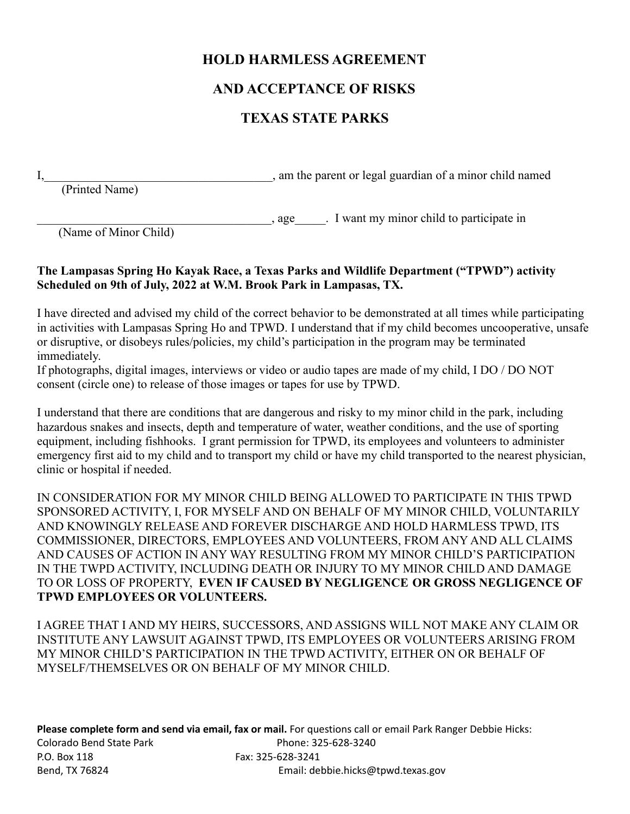### **HOLD HARMLESS AGREEMENT**

### **AND ACCEPTANCE OF RISKS**

## **TEXAS STATE PARKS**

I, am the parent or legal guardian of a minor child named

(Printed Name)

\_\_\_\_\_\_\_\_\_\_\_\_\_\_\_\_\_\_\_\_\_\_\_\_\_\_\_\_\_\_\_\_\_\_\_\_\_\_, age\_\_\_\_\_. I want my minor child to participate in

(Name of Minor Child)

#### **The Lampasas Spring Ho Kayak Race, a Texas Parks and Wildlife Department ("TPWD") activity Scheduled on 9th of July, 2022 at W.M. Brook Park in Lampasas, TX.**

I have directed and advised my child of the correct behavior to be demonstrated at all times while participating in activities with Lampasas Spring Ho and TPWD. I understand that if my child becomes uncooperative, unsafe or disruptive, or disobeys rules/policies, my child's participation in the program may be terminated immediately.

If photographs, digital images, interviews or video or audio tapes are made of my child, I DO / DO NOT consent (circle one) to release of those images or tapes for use by TPWD.

I understand that there are conditions that are dangerous and risky to my minor child in the park, including hazardous snakes and insects, depth and temperature of water, weather conditions, and the use of sporting equipment, including fishhooks. I grant permission for TPWD, its employees and volunteers to administer emergency first aid to my child and to transport my child or have my child transported to the nearest physician, clinic or hospital if needed.

IN CONSIDERATION FOR MY MINOR CHILD BEING ALLOWED TO PARTICIPATE IN THIS TPWD SPONSORED ACTIVITY, I, FOR MYSELF AND ON BEHALF OF MY MINOR CHILD, VOLUNTARILY AND KNOWINGLY RELEASE AND FOREVER DISCHARGE AND HOLD HARMLESS TPWD, ITS COMMISSIONER, DIRECTORS, EMPLOYEES AND VOLUNTEERS, FROM ANY AND ALL CLAIMS AND CAUSES OF ACTION IN ANY WAY RESULTING FROM MY MINOR CHILD'S PARTICIPATION IN THE TWPD ACTIVITY, INCLUDING DEATH OR INJURY TO MY MINOR CHILD AND DAMAGE TO OR LOSS OF PROPERTY, **EVEN IF CAUSED BY NEGLIGENCE OR GROSS NEGLIGENCE OF TPWD EMPLOYEES OR VOLUNTEERS.**

I AGREE THAT I AND MY HEIRS, SUCCESSORS, AND ASSIGNS WILL NOT MAKE ANY CLAIM OR INSTITUTE ANY LAWSUIT AGAINST TPWD, ITS EMPLOYEES OR VOLUNTEERS ARISING FROM MY MINOR CHILD'S PARTICIPATION IN THE TPWD ACTIVITY, EITHER ON OR BEHALF OF MYSELF/THEMSELVES OR ON BEHALF OF MY MINOR CHILD.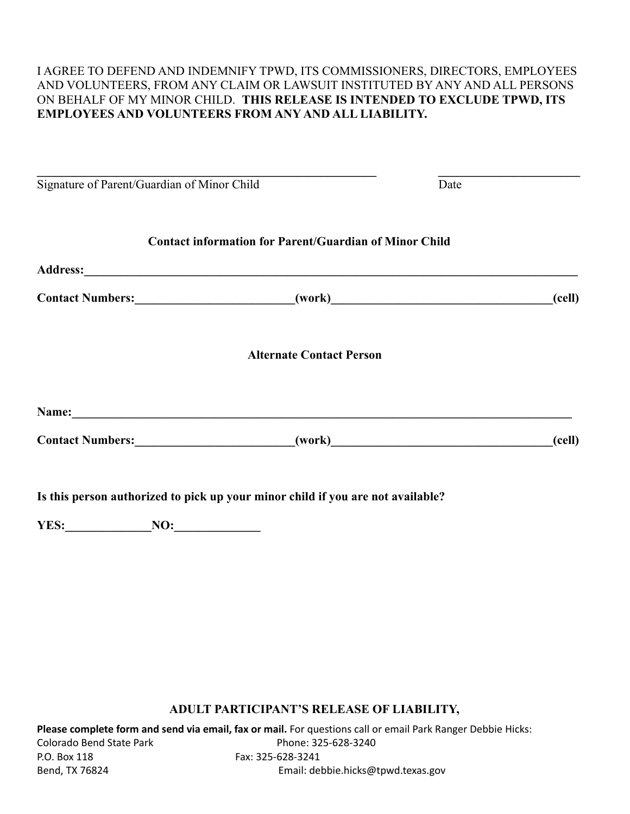#### I AGREE TO DEFEND AND INDEMNIFY TPWD, ITS COMMISSIONERS, DIRECTORS, EMPLOYEES AND VOLUNTEERS, FROM ANY CLAIM OR LAWSUIT INSTITUTED BY ANY AND ALL PERSONS ON BEHALF OF MY MINOR CHILD. **THIS RELEASE IS INTENDED TO EXCLUDE TPWD, ITS EMPLOYEES AND VOLUNTEERS FROM ANY AND ALL LIABILITY.**

| Signature of Parent/Guardian of Minor Child                                       |                                                               | Date |        |
|-----------------------------------------------------------------------------------|---------------------------------------------------------------|------|--------|
|                                                                                   | <b>Contact information for Parent/Guardian of Minor Child</b> |      |        |
|                                                                                   |                                                               |      |        |
| Contact Numbers: __________________________(work)_______________________________  |                                                               |      | (cell) |
|                                                                                   | <b>Alternate Contact Person</b>                               |      |        |
|                                                                                   |                                                               |      |        |
| Contact Numbers: __________________________(work)________________________________ |                                                               |      | (cell) |
| Is this person authorized to pick up your minor child if you are not available?   |                                                               |      |        |
| NO:<br>YES:                                                                       |                                                               |      |        |

#### **ADULT PARTICIPANT'S RELEASE OF LIABILITY,**